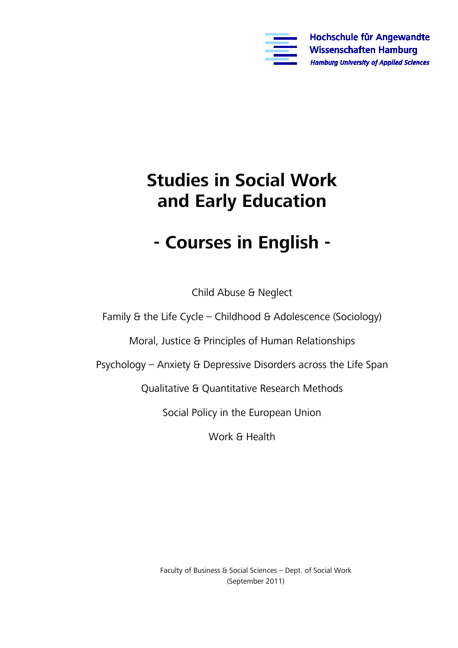

# **Studies in Social Work and Early Education**

# **- Courses in English -**

Child Abuse & Neglect

Family & the Life Cycle – Childhood & Adolescence (Sociology)

Moral, Justice & Principles of Human Relationships

Psychology – Anxiety & Depressive Disorders across the Life Span

Qualitative & Quantitative Research Methods

Social Policy in the European Union

Work & Health

Faculty of Business & Social Sciences – Dept. of Social Work (September 2011)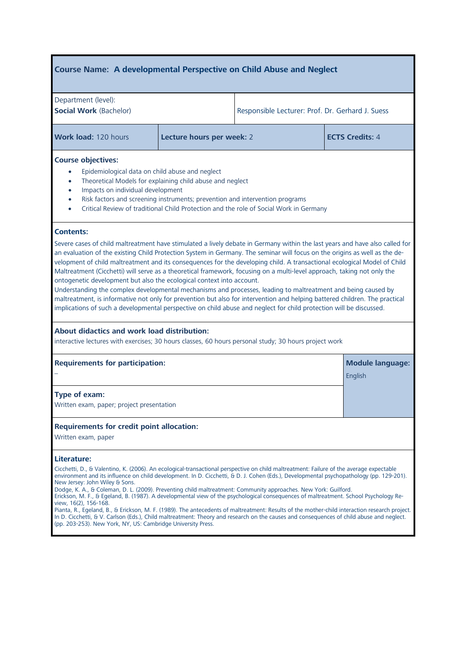# **Course Name: A developmental Perspective on Child Abuse and Neglect**

| Department (level):<br><b>Social Work (Bachelor)</b>                                                                                                                                                                                                                                                                                                                                                                                                                                                                                                                                                                                                                                                                                                                                                                                                                                                                                                                                                                                 |                           | Responsible Lecturer: Prof. Dr. Gerhard J. Suess |                         |  |
|--------------------------------------------------------------------------------------------------------------------------------------------------------------------------------------------------------------------------------------------------------------------------------------------------------------------------------------------------------------------------------------------------------------------------------------------------------------------------------------------------------------------------------------------------------------------------------------------------------------------------------------------------------------------------------------------------------------------------------------------------------------------------------------------------------------------------------------------------------------------------------------------------------------------------------------------------------------------------------------------------------------------------------------|---------------------------|--------------------------------------------------|-------------------------|--|
| Work load: 120 hours                                                                                                                                                                                                                                                                                                                                                                                                                                                                                                                                                                                                                                                                                                                                                                                                                                                                                                                                                                                                                 | Lecture hours per week: 2 | <b>ECTS Credits: 4</b>                           |                         |  |
| <b>Course objectives:</b><br>Epidemiological data on child abuse and neglect<br>$\bullet$<br>Theoretical Models for explaining child abuse and neglect<br>$\bullet$<br>Impacts on individual development<br>$\bullet$<br>Risk factors and screening instruments; prevention and intervention programs<br>$\bullet$<br>Critical Review of traditional Child Protection and the role of Social Work in Germany                                                                                                                                                                                                                                                                                                                                                                                                                                                                                                                                                                                                                         |                           |                                                  |                         |  |
| <b>Contents:</b><br>Severe cases of child maltreatment have stimulated a lively debate in Germany within the last years and have also called for<br>an evaluation of the existing Child Protection System in Germany. The seminar will focus on the origins as well as the de-<br>velopment of child maltreatment and its consequences for the developing child. A transactional ecological Model of Child<br>Maltreatment (Cicchetti) will serve as a theoretical framework, focusing on a multi-level approach, taking not only the<br>ontogenetic development but also the ecological context into account.<br>Understanding the complex developmental mechanisms and processes, leading to maltreatment and being caused by<br>maltreatment, is informative not only for prevention but also for intervention and helping battered children. The practical<br>implications of such a developmental perspective on child abuse and neglect for child protection will be discussed.<br>About didactics and work load distribution: |                           |                                                  |                         |  |
| interactive lectures with exercises; 30 hours classes, 60 hours personal study; 30 hours project work<br><b>Requirements for participation:</b><br>English                                                                                                                                                                                                                                                                                                                                                                                                                                                                                                                                                                                                                                                                                                                                                                                                                                                                           |                           |                                                  | <b>Module language:</b> |  |
| Type of exam:<br>Written exam, paper; project presentation                                                                                                                                                                                                                                                                                                                                                                                                                                                                                                                                                                                                                                                                                                                                                                                                                                                                                                                                                                           |                           |                                                  |                         |  |
| <b>Requirements for credit point allocation:</b><br>Written exam, paper                                                                                                                                                                                                                                                                                                                                                                                                                                                                                                                                                                                                                                                                                                                                                                                                                                                                                                                                                              |                           |                                                  |                         |  |
| Literature:<br>Cicchetti, D., & Valentino, K. (2006). An ecological-transactional perspective on child maltreatment: Failure of the average expectable<br>environment and its influence on child development. In D. Cicchetti, & D. J. Cohen (Eds.), Developmental psychopathology (pp. 129-201).<br>New Jersey: John Wiley & Sons.<br>Dodge, K. A., & Coleman, D. L. (2009). Preventing child maltreatment: Community approaches. New York: Guilford.<br>Erickson, M. F., & Egeland, B. (1987). A developmental view of the psychological conseguences of maltreatment. School Psychology Re-<br>view, 16(2), 156-168.<br>Pianta, R., Egeland, B., & Erickson, M. F. (1989). The antecedents of maltreatment: Results of the mother-child interaction research project.<br>In D. Cicchetti, & V. Carlson (Eds.), Child maltreatment: Theory and research on the causes and consequences of child abuse and neglect.<br>(pp. 203-253). New York, NY, US: Cambridge University Press.                                                 |                           |                                                  |                         |  |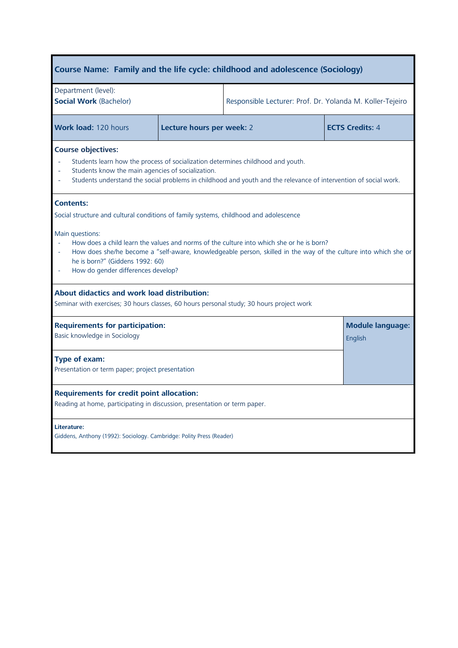| Course Name: Family and the life cycle: childhood and adolescence (Sociology)                                                                                                                                                                                                                                                                                                                                                                                                                                                                                          |                           |                                                           |                        |  |
|------------------------------------------------------------------------------------------------------------------------------------------------------------------------------------------------------------------------------------------------------------------------------------------------------------------------------------------------------------------------------------------------------------------------------------------------------------------------------------------------------------------------------------------------------------------------|---------------------------|-----------------------------------------------------------|------------------------|--|
| Department (level):<br><b>Social Work (Bachelor)</b>                                                                                                                                                                                                                                                                                                                                                                                                                                                                                                                   |                           | Responsible Lecturer: Prof. Dr. Yolanda M. Koller-Tejeiro |                        |  |
| Work load: 120 hours                                                                                                                                                                                                                                                                                                                                                                                                                                                                                                                                                   | Lecture hours per week: 2 |                                                           | <b>ECTS Credits: 4</b> |  |
| <b>Course objectives:</b><br>Students learn how the process of socialization determines childhood and youth.<br>Students know the main agencies of socialization.<br>Students understand the social problems in childhood and youth and the relevance of intervention of social work.                                                                                                                                                                                                                                                                                  |                           |                                                           |                        |  |
| <b>Contents:</b><br>Social structure and cultural conditions of family systems, childhood and adolescence<br>Main questions:<br>How does a child learn the values and norms of the culture into which she or he is born?<br>How does she/he become a "self-aware, knowledgeable person, skilled in the way of the culture into which she or<br>he is born?" (Giddens 1992: 60)<br>How do gender differences develop?<br><b>About didactics and work load distribution:</b><br>Seminar with exercises; 30 hours classes, 60 hours personal study; 30 hours project work |                           |                                                           |                        |  |
| <b>Requirements for participation:</b><br>Basic knowledge in Sociology                                                                                                                                                                                                                                                                                                                                                                                                                                                                                                 |                           | <b>Module language:</b><br>English                        |                        |  |
| Type of exam:<br>Presentation or term paper; project presentation                                                                                                                                                                                                                                                                                                                                                                                                                                                                                                      |                           |                                                           |                        |  |
| <b>Requirements for credit point allocation:</b><br>Reading at home, participating in discussion, presentation or term paper.                                                                                                                                                                                                                                                                                                                                                                                                                                          |                           |                                                           |                        |  |
| Literature:<br>Giddens, Anthony (1992): Sociology. Cambridge: Polity Press (Reader)                                                                                                                                                                                                                                                                                                                                                                                                                                                                                    |                           |                                                           |                        |  |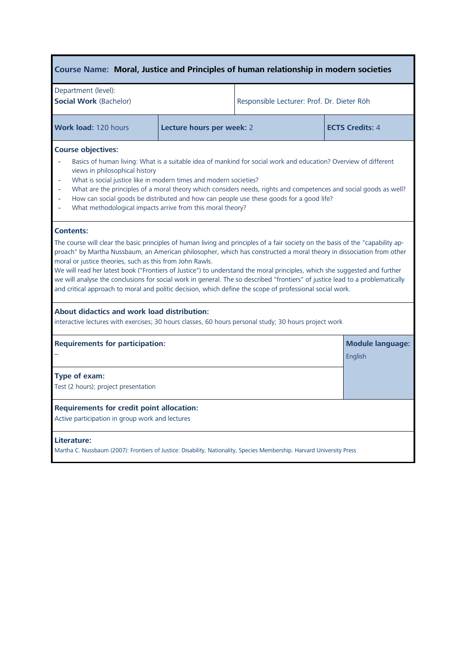# **Course Name: Moral, Justice and Principles of human relationship in modern societies**

| Department (level):<br><b>Social Work (Bachelor)</b> |                           | Responsible Lecturer: Prof. Dr. Dieter Röh |                        |
|------------------------------------------------------|---------------------------|--------------------------------------------|------------------------|
| <b>Work load: 120 hours</b>                          | Lecture hours per week: 2 |                                            | <b>ECTS Credits: 4</b> |

#### **Course objectives:**

- Basics of human living: What is a suitable idea of mankind for social work and education? Overview of different views in philosophical history
- What is social justice like in modern times and modern societies?
- What are the principles of a moral theory which considers needs, rights and competences and social goods as well?
- How can social goods be distributed and how can people use these goods for a good life?
- What methodological impacts arrive from this moral theory?

### **Contents:**

The course will clear the basic principles of human living and principles of a fair society on the basis of the "capability approach" by Martha Nussbaum, an American philosopher, which has constructed a moral theory in dissociation from other moral or justice theories, such as this from John Rawls.

We will read her latest book ("Frontiers of Justice") to understand the moral principles, which she suggested and further we will analyse the conclusions for social work in general. The so described "frontiers" of justice lead to a problematically and critical approach to moral and politic decision, which define the scope of professional social work.

#### **About [didactics](http://dict.leo.org/se?lp=ende&p=/Mn4k.&search=didactics) and work load distribution:**

interactive lectures with exercises; 30 hours classes, 60 hours personal study; 30 hours project work

| <b>Requirements for participation:</b>                                                                                                | <b>Module language:</b> |
|---------------------------------------------------------------------------------------------------------------------------------------|-------------------------|
|                                                                                                                                       | English                 |
| Type of exam:<br>Test (2 hours); project presentation                                                                                 |                         |
| <b>Requirements for credit point allocation:</b><br>Active participation in group work and lectures                                   |                         |
| Literature:<br>Martha C. Nussbaum (2007): Frontiers of Justice: Disability, Nationality, Species Membership. Harvard University Press |                         |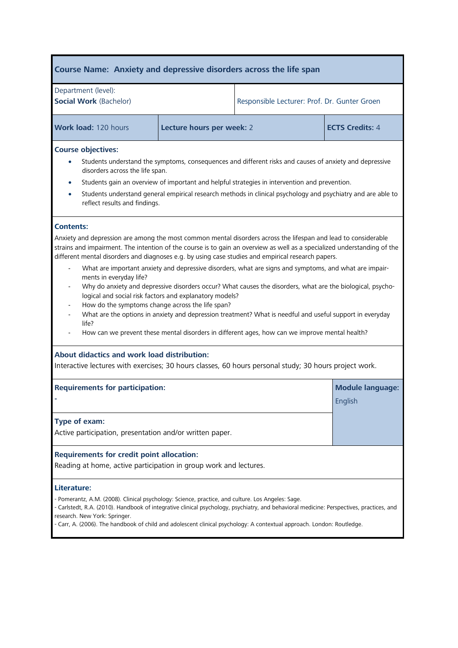# **Course Name: Anxiety and depressive disorders across the life span**

| Department (level):    |                                              |
|------------------------|----------------------------------------------|
| Social Work (Bachelor) | Responsible Lecturer: Prof. Dr. Gunter Groen |

**Work load:** 120 hours **Lecture hours per week: 2 <b>ECTS Credits:** 4

## **Course objectives:**

- Students understand the symptoms, consequences and different risks and causes of anxiety and depressive disorders across the life span.
- Students gain an overview of important and helpful strategies in intervention and prevention.
- Students understand general empirical research methods in clinical psychology and psychiatry and are able to reflect results and findings.

## **Contents:**

Anxiety and depression are among the most common mental disorders across the lifespan and lead to considerable strains and impairment. The intention of the course is to gain an overview as well as a specialized understanding of the different mental disorders and diagnoses e.g. by using case studies and empirical research papers.

- What are important anxiety and depressive disorders, what are signs and symptoms, and what are impairments in everyday life?
- Why do anxiety and depressive disorders occur? What causes the disorders, what are the biological, psychological and social risk factors and explanatory models?
- How do the symptoms change across the life span?
- What are the options in anxiety and depression treatment? What is needful and useful support in everyday life?
- How can we prevent these mental disorders in different ages, how can we improve mental health?

# **About [didactics](http://dict.leo.org/se?lp=ende&p=/Mn4k.&search=didactics) and work load distribution:**

Interactive lectures with exercises; 30 hours classes, 60 hours personal study; 30 hours project work.

| <b>Requirements for participation:</b>                                                                                                                                                                                                                                                                                                                                                                                  | <b>Module language:</b><br>English |  |
|-------------------------------------------------------------------------------------------------------------------------------------------------------------------------------------------------------------------------------------------------------------------------------------------------------------------------------------------------------------------------------------------------------------------------|------------------------------------|--|
| Type of exam:<br>Active participation, presentation and/or written paper.                                                                                                                                                                                                                                                                                                                                               |                                    |  |
| <b>Requirements for credit point allocation:</b><br>Reading at home, active participation in group work and lectures.                                                                                                                                                                                                                                                                                                   |                                    |  |
| Literature:<br>- Pomerantz, A.M. (2008). Clinical psychology: Science, practice, and culture. Los Angeles: Sage.<br>- Carlstedt, R.A. (2010). Handbook of integrative clinical psychology, psychiatry, and behavioral medicine: Perspectives, practices, and<br>research. New York: Springer.<br>- Carr, A. (2006). The handbook of child and adolescent clinical psychology: A contextual approach. London: Routledge. |                                    |  |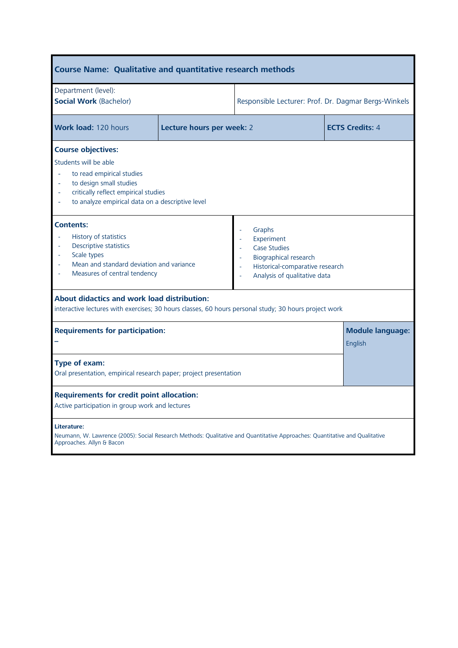| <b>Course Name: Qualitative and quantitative research methods</b>                                                                                                                                                                                                                                                     |                           |                                                      |                        |
|-----------------------------------------------------------------------------------------------------------------------------------------------------------------------------------------------------------------------------------------------------------------------------------------------------------------------|---------------------------|------------------------------------------------------|------------------------|
| Department (level):<br><b>Social Work (Bachelor)</b>                                                                                                                                                                                                                                                                  |                           | Responsible Lecturer: Prof. Dr. Dagmar Bergs-Winkels |                        |
| Work load: 120 hours                                                                                                                                                                                                                                                                                                  | Lecture hours per week: 2 |                                                      | <b>ECTS Credits: 4</b> |
| <b>Course objectives:</b><br>Students will be able<br>to read empirical studies<br>to design small studies<br>critically reflect empirical studies<br>to analyze empirical data on a descriptive level                                                                                                                |                           |                                                      |                        |
| <b>Contents:</b><br>Graphs<br>History of statistics<br>Experiment<br>Descriptive statistics<br><b>Case Studies</b><br>Scale types<br>ä,<br>Biographical research<br>Mean and standard deviation and variance<br>Historical-comparative research<br>÷.<br>Measures of central tendency<br>Analysis of qualitative data |                           |                                                      |                        |
| <b>About didactics and work load distribution:</b><br>interactive lectures with exercises; 30 hours classes, 60 hours personal study; 30 hours project work                                                                                                                                                           |                           |                                                      |                        |
| <b>Requirements for participation:</b>                                                                                                                                                                                                                                                                                |                           | <b>Module language:</b><br>English                   |                        |
| Type of exam:<br>Oral presentation, empirical research paper; project presentation                                                                                                                                                                                                                                    |                           |                                                      |                        |
| <b>Requirements for credit point allocation:</b><br>Active participation in group work and lectures                                                                                                                                                                                                                   |                           |                                                      |                        |
| Literature:<br>Neumann, W. Lawrence (2005): Social Research Methods: Qualitative and Quantitative Approaches: Quantitative and Qualitative<br>Approaches. Allyn & Bacon                                                                                                                                               |                           |                                                      |                        |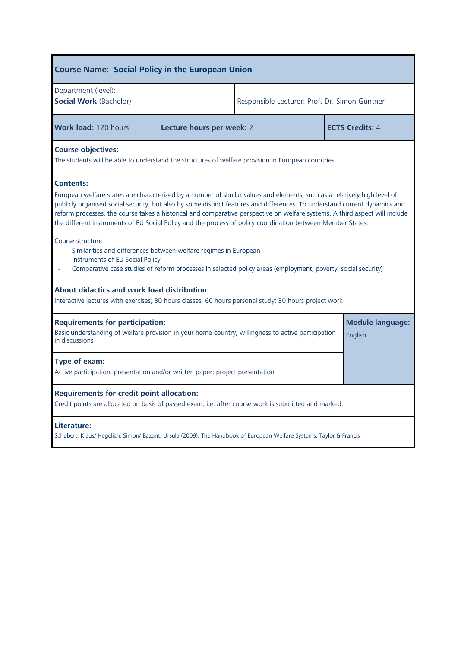| <b>Course Name: Social Policy in the European Union</b>                                                                                                                                                                                                                                                                                                                                                                                                                                                                                                                                                                                                                                                                                                                   |                           |                                               |                                    |
|---------------------------------------------------------------------------------------------------------------------------------------------------------------------------------------------------------------------------------------------------------------------------------------------------------------------------------------------------------------------------------------------------------------------------------------------------------------------------------------------------------------------------------------------------------------------------------------------------------------------------------------------------------------------------------------------------------------------------------------------------------------------------|---------------------------|-----------------------------------------------|------------------------------------|
| Department (level):<br><b>Social Work (Bachelor)</b>                                                                                                                                                                                                                                                                                                                                                                                                                                                                                                                                                                                                                                                                                                                      |                           | Responsible Lecturer: Prof. Dr. Simon Güntner |                                    |
| <b>Work load: 120 hours</b>                                                                                                                                                                                                                                                                                                                                                                                                                                                                                                                                                                                                                                                                                                                                               | Lecture hours per week: 2 |                                               | <b>ECTS Credits: 4</b>             |
| <b>Course objectives:</b><br>The students will be able to understand the structures of welfare provision in European countries.                                                                                                                                                                                                                                                                                                                                                                                                                                                                                                                                                                                                                                           |                           |                                               |                                    |
| <b>Contents:</b><br>European welfare states are characterized by a number of similar values and elements, such as a relatively high level of<br>publicly organised social security, but also by some distinct features and differences. To understand current dynamics and<br>reform processes, the course takes a historical and comparative perspective on welfare systems. A third aspect will include<br>the different instruments of EU Social Policy and the process of policy coordination between Member States.<br>Course structure<br>Similarities and differences between welfare regimes in European<br>Instruments of EU Social Policy<br>Comparative case studies of reform processes in selected policy areas (employment, poverty, social security)<br>ä, |                           |                                               |                                    |
| About didactics and work load distribution:<br>interactive lectures with exercises; 30 hours classes, 60 hours personal study; 30 hours project work                                                                                                                                                                                                                                                                                                                                                                                                                                                                                                                                                                                                                      |                           |                                               |                                    |
| <b>Requirements for participation:</b><br>Basic understanding of welfare provision in your home country, willingness to active participation<br>in discussions                                                                                                                                                                                                                                                                                                                                                                                                                                                                                                                                                                                                            |                           |                                               | <b>Module language:</b><br>English |
| Type of exam:<br>Active participation, presentation and/or written paper; project presentation                                                                                                                                                                                                                                                                                                                                                                                                                                                                                                                                                                                                                                                                            |                           |                                               |                                    |
| <b>Requirements for credit point allocation:</b><br>Credit points are allocated on basis of passed exam, i.e. after course work is submitted and marked.                                                                                                                                                                                                                                                                                                                                                                                                                                                                                                                                                                                                                  |                           |                                               |                                    |
| Literature:<br>Schubert, Klaus/ Hegelich, Simon/ Bazant, Ursula (2009): The Handbook of European Welfare Systems, Taylor & Francis                                                                                                                                                                                                                                                                                                                                                                                                                                                                                                                                                                                                                                        |                           |                                               |                                    |